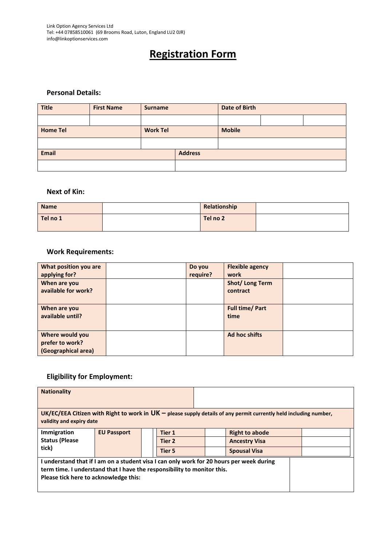Link Option Agency Services Ltd Tel: +44 07858510061 (69 Brooms Road, Luton, England LU2 0JR) info@linkoptionservices.com

# **Registration Form**

#### **Personal Details:**

| <b>Title</b>    | <b>First Name</b> | <b>Surname</b>  |  | <b>Date of Birth</b> |  |
|-----------------|-------------------|-----------------|--|----------------------|--|
|                 |                   |                 |  |                      |  |
| <b>Home Tel</b> |                   | <b>Work Tel</b> |  | <b>Mobile</b>        |  |
|                 |                   |                 |  |                      |  |
| <b>Email</b>    |                   | <b>Address</b>  |  |                      |  |
|                 |                   |                 |  |                      |  |

#### **Next of Kin:**

| <b>Name</b> | Relationship |  |
|-------------|--------------|--|
| Tel no 1    | Tel no 2     |  |

#### **Work Requirements:**

| What position you are<br>applying for?                    | Do you<br>require? | <b>Flexible agency</b><br>work |  |
|-----------------------------------------------------------|--------------------|--------------------------------|--|
| When are you<br>available for work?                       |                    | Shot/Long Term<br>contract     |  |
| When are you<br>available until?                          |                    | <b>Full time/ Part</b><br>time |  |
| Where would you<br>prefer to work?<br>(Geographical area) |                    | Ad hoc shifts                  |  |

### **Eligibility for Employment:**

| <b>Nationality</b>                                                                                                                                                                                           |                    |  |                   |  |                       |  |  |
|--------------------------------------------------------------------------------------------------------------------------------------------------------------------------------------------------------------|--------------------|--|-------------------|--|-----------------------|--|--|
| UK/EC/EEA Citizen with Right to work in $UK$ – please supply details of any permit currently held including number,<br>validity and expiry date                                                              |                    |  |                   |  |                       |  |  |
| Immigration                                                                                                                                                                                                  | <b>EU Passport</b> |  | Tier 1            |  | <b>Right to abode</b> |  |  |
| <b>Status (Please</b>                                                                                                                                                                                        |                    |  | Tier <sub>2</sub> |  | <b>Ancestry Visa</b>  |  |  |
| tick)                                                                                                                                                                                                        |                    |  | <b>Tier 5</b>     |  | <b>Spousal Visa</b>   |  |  |
| I understand that if I am on a student visa I can only work for 20 hours per week during<br>term time. I understand that I have the responsibility to monitor this.<br>Please tick here to acknowledge this: |                    |  |                   |  |                       |  |  |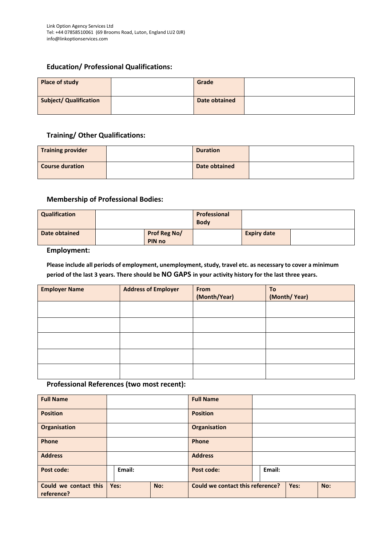#### **Education/ Professional Qualifications:**

| Place of study                | Grade         |  |
|-------------------------------|---------------|--|
| <b>Subject/ Qualification</b> | Date obtained |  |

#### **Training/ Other Qualifications:**

| <b>Training provider</b> | <b>Duration</b> |  |
|--------------------------|-----------------|--|
| <b>Course duration</b>   | Date obtained   |  |

#### **Membership of Professional Bodies:**

| Qualification |  |                        | Professional<br><b>Body</b> |                    |  |
|---------------|--|------------------------|-----------------------------|--------------------|--|
| Date obtained |  | Prof Reg No/<br>PIN no |                             | <b>Expiry date</b> |  |

#### **Employment:**

**Please include all periods of employment, unemployment, study, travel etc. as necessary to cover a minimum period of the last 3 years. There should be NO GAPS in your activity history for the last three years.**

| <b>Employer Name</b> | <b>Address of Employer</b> | From         | To           |
|----------------------|----------------------------|--------------|--------------|
|                      |                            | (Month/Year) | (Month/Year) |
|                      |                            |              |              |
|                      |                            |              |              |
|                      |                            |              |              |
|                      |                            |              |              |
|                      |                            |              |              |
|                      |                            |              |              |
|                      |                            |              |              |
|                      |                            |              |              |
|                      |                            |              |              |
|                      |                            |              |              |

#### **Professional References (two most recent):**

| <b>Full Name</b>                    |             | <b>Full Name</b>                        |             |
|-------------------------------------|-------------|-----------------------------------------|-------------|
| <b>Position</b>                     |             | <b>Position</b>                         |             |
| Organisation                        |             | Organisation                            |             |
| Phone                               |             | Phone                                   |             |
| <b>Address</b>                      |             | <b>Address</b>                          |             |
| Post code:                          | Email:      | <b>Post code:</b>                       | Email:      |
| Could we contact this<br>reference? | No:<br>Yes: | <b>Could we contact this reference?</b> | Yes:<br>No: |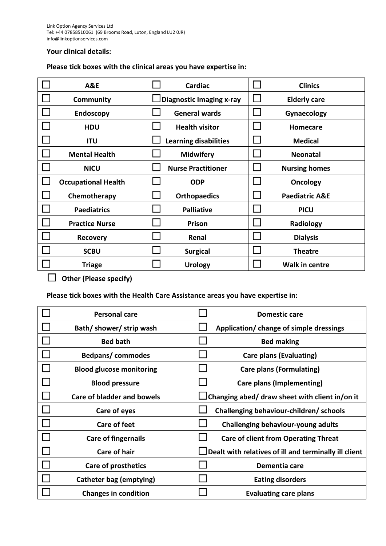#### **Your clinical details:**

## **Please tick boxes with the clinical areas you have expertise in:**

| <b>A&amp;E</b>             | <b>Cardiac</b>                  | <b>Clinics</b>            |
|----------------------------|---------------------------------|---------------------------|
| Community                  | $\Box$ Diagnostic Imaging x-ray | <b>Elderly care</b>       |
| <b>Endoscopy</b>           | <b>General wards</b>            | Gynaecology               |
| <b>HDU</b>                 | <b>Health visitor</b>           | Homecare                  |
| <b>ITU</b>                 | <b>Learning disabilities</b>    | <b>Medical</b>            |
| <b>Mental Health</b>       | <b>Midwifery</b>                | <b>Neonatal</b>           |
| <b>NICU</b>                | <b>Nurse Practitioner</b>       | <b>Nursing homes</b>      |
| <b>Occupational Health</b> | <b>ODP</b>                      | <b>Oncology</b>           |
| Chemotherapy               | <b>Orthopaedics</b>             | <b>Paediatric A&amp;E</b> |
| <b>Paediatrics</b>         | <b>Palliative</b>               | <b>PICU</b>               |
| <b>Practice Nurse</b>      | Prison                          | Radiology                 |
| <b>Recovery</b>            | Renal                           | <b>Dialysis</b>           |
| <b>SCBU</b>                | <b>Surgical</b>                 | <b>Theatre</b>            |
| <b>Triage</b>              | <b>Urology</b>                  | <b>Walk in centre</b>     |

☐ **Other (Please specify)**

**Please tick boxes with the Health Care Assistance areas you have expertise in:**

| <b>Personal care</b>              | <b>Domestic care</b>                                  |
|-----------------------------------|-------------------------------------------------------|
| Bath/shower/strip wash            | Application/ change of simple dressings               |
| <b>Bed bath</b>                   | <b>Bed making</b>                                     |
| Bedpans/commodes                  | <b>Care plans (Evaluating)</b>                        |
| <b>Blood glucose monitoring</b>   | <b>Care plans (Formulating)</b>                       |
| <b>Blood pressure</b>             | <b>Care plans (Implementing)</b>                      |
| <b>Care of bladder and bowels</b> | Changing abed/ draw sheet with client in/on it        |
| Care of eyes                      | Challenging behaviour-children/ schools               |
| <b>Care of feet</b>               | Challenging behaviour-young adults                    |
| <b>Care of fingernails</b>        | <b>Care of client from Operating Threat</b>           |
| <b>Care of hair</b>               | Dealt with relatives of ill and terminally ill client |
| <b>Care of prosthetics</b>        | Dementia care                                         |
| Catheter bag (emptying)           | <b>Eating disorders</b>                               |
| <b>Changes in condition</b>       | <b>Evaluating care plans</b>                          |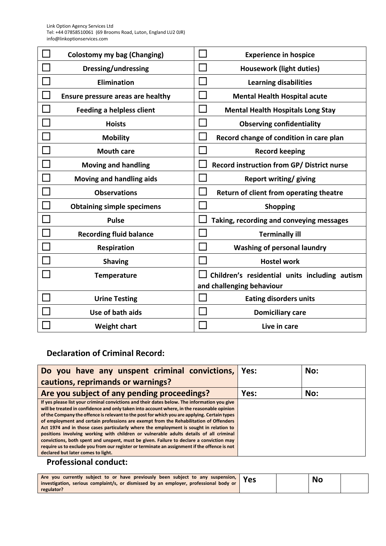Link Option Agency Services Ltd Tel: +44 07858510061 (69 Brooms Road, Luton, England LU2 0JR) info@linkoptionservices.com

| <b>Colostomy my bag (Changing)</b> | <b>Experience in hospice</b>                  |
|------------------------------------|-----------------------------------------------|
| <b>Dressing/undressing</b>         | <b>Housework (light duties)</b>               |
| <b>Elimination</b>                 | <b>Learning disabilities</b>                  |
| Ensure pressure areas are healthy  | <b>Mental Health Hospital acute</b>           |
| <b>Feeding a helpless client</b>   | <b>Mental Health Hospitals Long Stay</b>      |
| <b>Hoists</b>                      | <b>Observing confidentiality</b>              |
| <b>Mobility</b>                    | Record change of condition in care plan       |
| <b>Mouth care</b>                  | <b>Record keeping</b>                         |
| <b>Moving and handling</b>         | Record instruction from GP/ District nurse    |
| Moving and handling aids           | <b>Report writing/ giving</b>                 |
| <b>Observations</b>                | Return of client from operating theatre       |
| <b>Obtaining simple specimens</b>  | <b>Shopping</b>                               |
| <b>Pulse</b>                       | Taking, recording and conveying messages      |
| <b>Recording fluid balance</b>     | <b>Terminally ill</b>                         |
| Respiration                        | <b>Washing of personal laundry</b>            |
| <b>Shaving</b>                     | <b>Hostel work</b>                            |
| <b>Temperature</b>                 | Children's residential units including autism |
|                                    | and challenging behaviour                     |
| <b>Urine Testing</b>               | <b>Eating disorders units</b>                 |
| Use of bath aids                   | <b>Domiciliary care</b>                       |
| <b>Weight chart</b>                | Live in care                                  |

# **Declaration of Criminal Record:**

| Do you have any unspent criminal convictions,                                                                                                                                                                                                                                                                                                                                                                     | Yes: | No: |
|-------------------------------------------------------------------------------------------------------------------------------------------------------------------------------------------------------------------------------------------------------------------------------------------------------------------------------------------------------------------------------------------------------------------|------|-----|
| cautions, reprimands or warnings?                                                                                                                                                                                                                                                                                                                                                                                 |      |     |
| Are you subject of any pending proceedings?                                                                                                                                                                                                                                                                                                                                                                       | Yes: | No: |
| If yes please list your criminal convictions and their dates below. The information you give<br>will be treated in confidence and only taken into account where, in the reasonable opinion<br>of the Company the offence is relevant to the post for which you are applying. Certain types<br>of employment and certain professions are exempt from the Rehabilitation of Offenders                               |      |     |
| Act 1974 and in those cases particularly where the employment is sought in relation to<br>positions involving working with children or vulnerable adults details of all criminal<br>convictions, both spent and unspent, must be given. Failure to declare a conviction may<br>require us to exclude you from our register or terminate an assignment if the offence is not<br>declared but later comes to light. |      |     |

# **Professional conduct:**

| $\pi$ re you currently subject to or have previously been subject to any suspension, $\gamma$ Yes<br>investigation, serious complaint/s, or dismissed by an employer, professional body or |  | No |  |
|--------------------------------------------------------------------------------------------------------------------------------------------------------------------------------------------|--|----|--|
| regulator?                                                                                                                                                                                 |  |    |  |